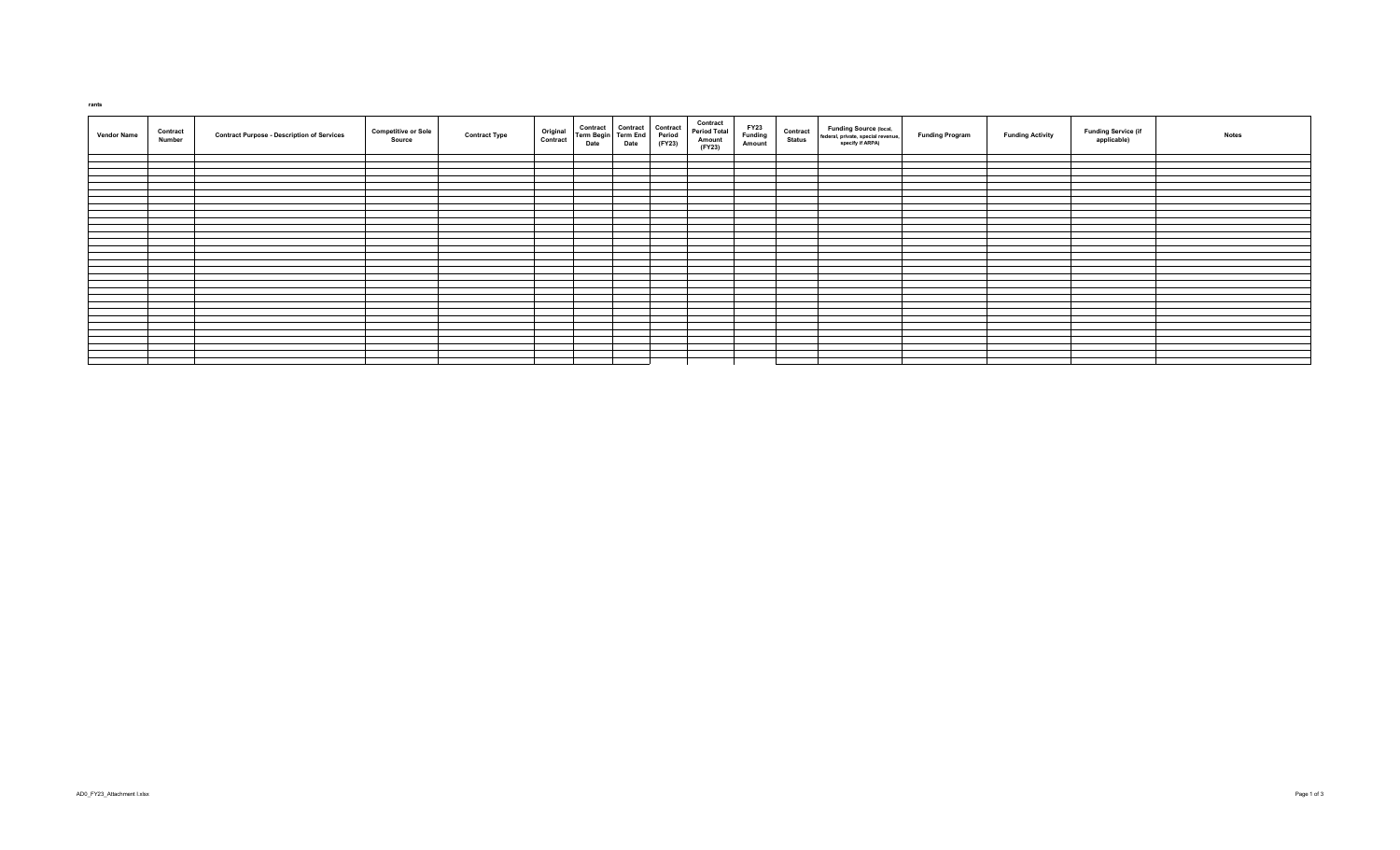| <b>Vendor Name</b> | Contract<br>Number | <b>Contract Purpose - Description of Services</b> | <b>Competitive or Sole</b><br>Source | Original<br>Contract<br><b>Contract Type</b> | Contract Contract Contract<br>Term Begin Term End Period<br>Date Date (FY23) | Contract<br><b>Period Total</b><br>Amount<br>(FY23) | FY23<br>Funding<br>Amount | <b>Contract</b><br>Status | <b>Funding Source (local,</b><br>federal, private, special revenue,<br>specify if ARPA) | <b>Funding Program</b> | <b>Funding Activity</b> | <b>Funding Service (if</b><br>applicable) | <b>Notes</b> |
|--------------------|--------------------|---------------------------------------------------|--------------------------------------|----------------------------------------------|------------------------------------------------------------------------------|-----------------------------------------------------|---------------------------|---------------------------|-----------------------------------------------------------------------------------------|------------------------|-------------------------|-------------------------------------------|--------------|
|                    |                    |                                                   |                                      |                                              |                                                                              |                                                     |                           |                           |                                                                                         |                        |                         |                                           |              |
|                    |                    |                                                   |                                      |                                              |                                                                              |                                                     |                           |                           |                                                                                         |                        |                         |                                           |              |
|                    |                    |                                                   |                                      |                                              |                                                                              |                                                     |                           |                           |                                                                                         |                        |                         |                                           |              |
|                    |                    |                                                   |                                      |                                              |                                                                              |                                                     |                           |                           |                                                                                         |                        |                         |                                           |              |
|                    |                    |                                                   |                                      |                                              |                                                                              |                                                     |                           |                           |                                                                                         |                        |                         |                                           |              |
|                    |                    |                                                   |                                      |                                              |                                                                              |                                                     |                           |                           |                                                                                         |                        |                         |                                           |              |
|                    |                    |                                                   |                                      |                                              |                                                                              |                                                     |                           |                           |                                                                                         |                        |                         |                                           |              |
|                    |                    |                                                   |                                      |                                              |                                                                              |                                                     |                           |                           |                                                                                         |                        |                         |                                           |              |
|                    |                    |                                                   |                                      |                                              |                                                                              |                                                     |                           |                           |                                                                                         |                        |                         |                                           |              |
|                    |                    |                                                   |                                      |                                              |                                                                              |                                                     |                           |                           |                                                                                         |                        |                         |                                           |              |
|                    |                    |                                                   |                                      |                                              |                                                                              |                                                     |                           |                           |                                                                                         |                        |                         |                                           |              |
|                    |                    |                                                   |                                      |                                              |                                                                              |                                                     |                           |                           |                                                                                         |                        |                         |                                           |              |
|                    |                    |                                                   |                                      |                                              |                                                                              |                                                     |                           |                           |                                                                                         |                        |                         |                                           |              |
|                    |                    |                                                   |                                      |                                              |                                                                              |                                                     |                           |                           |                                                                                         |                        |                         |                                           |              |
|                    |                    |                                                   |                                      |                                              |                                                                              |                                                     |                           |                           |                                                                                         |                        |                         |                                           |              |
|                    |                    |                                                   |                                      |                                              |                                                                              |                                                     |                           |                           |                                                                                         |                        |                         |                                           |              |
|                    |                    |                                                   |                                      |                                              |                                                                              |                                                     |                           |                           |                                                                                         |                        |                         |                                           |              |
|                    |                    |                                                   |                                      |                                              |                                                                              |                                                     |                           |                           |                                                                                         |                        |                         |                                           |              |
|                    |                    |                                                   |                                      |                                              |                                                                              |                                                     |                           |                           |                                                                                         |                        |                         |                                           |              |
|                    |                    |                                                   |                                      |                                              |                                                                              |                                                     |                           |                           |                                                                                         |                        |                         |                                           |              |
|                    |                    |                                                   |                                      |                                              |                                                                              |                                                     |                           |                           |                                                                                         |                        |                         |                                           |              |
|                    |                    |                                                   |                                      |                                              |                                                                              |                                                     |                           |                           |                                                                                         |                        |                         |                                           |              |
|                    |                    |                                                   |                                      |                                              |                                                                              |                                                     |                           |                           |                                                                                         |                        |                         |                                           |              |
|                    |                    |                                                   |                                      |                                              |                                                                              |                                                     |                           |                           |                                                                                         |                        |                         |                                           |              |
|                    |                    |                                                   |                                      |                                              |                                                                              |                                                     |                           |                           |                                                                                         |                        |                         |                                           |              |
|                    |                    |                                                   |                                      |                                              |                                                                              |                                                     |                           |                           |                                                                                         |                        |                         |                                           |              |
|                    |                    |                                                   |                                      |                                              |                                                                              |                                                     |                           |                           |                                                                                         |                        |                         |                                           |              |
|                    |                    |                                                   |                                      |                                              |                                                                              |                                                     |                           |                           |                                                                                         |                        |                         |                                           |              |
|                    |                    |                                                   |                                      |                                              |                                                                              |                                                     |                           |                           |                                                                                         |                        |                         |                                           |              |
|                    |                    |                                                   |                                      |                                              |                                                                              |                                                     |                           |                           |                                                                                         |                        |                         |                                           |              |

 **rants**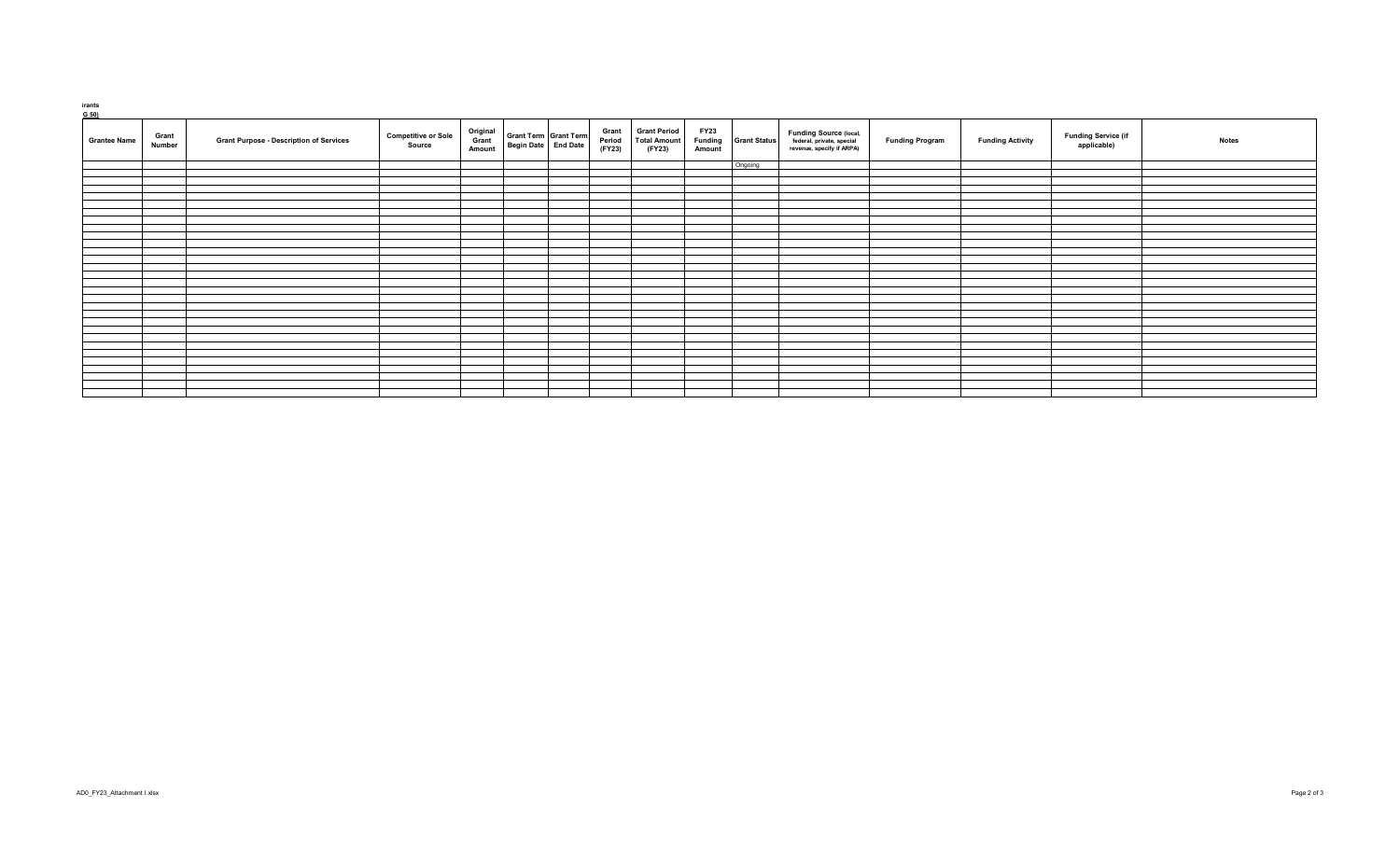| rants |  |  |
|-------|--|--|

| <b>Grantee Name</b> | Grant<br>Number | <b>Grant Purpose - Description of Services</b> | <b>Competitive or Sole</b><br>Source | Original<br>Grant<br>Amount | Begin Date End Date | <b>Grant Term Grant Term</b> | Grant<br>Period<br>(FY23) | <b>Grant Period</b><br><b>Total Amount</b><br>(FY23) | <b>FY23</b><br>Funding<br>Amount | <b>Grant Status</b> | <b>Funding Source (local,</b><br>federal, private, special<br>revenue, specify if ARPA) | <b>Funding Program</b> | <b>Funding Activity</b> | <b>Funding Service (if</b><br>applicable) | <b>Notes</b> |
|---------------------|-----------------|------------------------------------------------|--------------------------------------|-----------------------------|---------------------|------------------------------|---------------------------|------------------------------------------------------|----------------------------------|---------------------|-----------------------------------------------------------------------------------------|------------------------|-------------------------|-------------------------------------------|--------------|
|                     |                 |                                                |                                      |                             |                     |                              |                           |                                                      |                                  | Ongoing             |                                                                                         |                        |                         |                                           |              |
|                     |                 |                                                |                                      |                             |                     |                              |                           |                                                      |                                  |                     |                                                                                         |                        |                         |                                           |              |
|                     |                 |                                                |                                      |                             |                     |                              |                           |                                                      |                                  |                     |                                                                                         |                        |                         |                                           |              |
|                     |                 |                                                |                                      |                             |                     |                              |                           |                                                      |                                  |                     |                                                                                         |                        |                         |                                           |              |
|                     |                 |                                                |                                      |                             |                     |                              |                           |                                                      |                                  |                     |                                                                                         |                        |                         |                                           |              |
|                     |                 |                                                |                                      |                             |                     |                              |                           |                                                      |                                  |                     |                                                                                         |                        |                         |                                           |              |
|                     |                 |                                                |                                      |                             |                     |                              |                           |                                                      |                                  |                     |                                                                                         |                        |                         |                                           |              |
|                     |                 |                                                |                                      |                             |                     |                              |                           |                                                      |                                  |                     |                                                                                         |                        |                         |                                           |              |
|                     |                 |                                                |                                      |                             |                     |                              |                           |                                                      |                                  |                     |                                                                                         |                        |                         |                                           |              |
|                     |                 |                                                |                                      |                             |                     |                              |                           |                                                      |                                  |                     |                                                                                         |                        |                         |                                           |              |
|                     |                 |                                                |                                      |                             |                     |                              |                           |                                                      |                                  |                     |                                                                                         |                        |                         |                                           |              |
|                     |                 |                                                |                                      |                             |                     |                              |                           |                                                      |                                  |                     |                                                                                         |                        |                         |                                           |              |
|                     |                 |                                                |                                      |                             |                     |                              |                           |                                                      |                                  |                     |                                                                                         |                        |                         |                                           |              |
|                     |                 |                                                |                                      |                             |                     |                              |                           |                                                      |                                  |                     |                                                                                         |                        |                         |                                           |              |
|                     |                 |                                                |                                      |                             |                     |                              |                           |                                                      |                                  |                     |                                                                                         |                        |                         |                                           |              |
|                     |                 |                                                |                                      |                             |                     |                              |                           |                                                      |                                  |                     |                                                                                         |                        |                         |                                           |              |
|                     |                 |                                                |                                      |                             |                     |                              |                           |                                                      |                                  |                     |                                                                                         |                        |                         |                                           |              |
|                     |                 |                                                |                                      |                             |                     |                              |                           |                                                      |                                  |                     |                                                                                         |                        |                         |                                           |              |
|                     |                 |                                                |                                      |                             |                     |                              |                           |                                                      |                                  |                     |                                                                                         |                        |                         |                                           |              |
|                     |                 |                                                |                                      |                             |                     |                              |                           |                                                      |                                  |                     |                                                                                         |                        |                         |                                           |              |
|                     |                 |                                                |                                      |                             |                     |                              |                           |                                                      |                                  |                     |                                                                                         |                        |                         |                                           |              |
|                     |                 |                                                |                                      |                             |                     |                              |                           |                                                      |                                  |                     |                                                                                         |                        |                         |                                           |              |
|                     |                 |                                                |                                      |                             |                     |                              |                           |                                                      |                                  |                     |                                                                                         |                        |                         |                                           |              |
|                     |                 |                                                |                                      |                             |                     |                              |                           |                                                      |                                  |                     |                                                                                         |                        |                         |                                           |              |
|                     |                 |                                                |                                      |                             |                     |                              |                           |                                                      |                                  |                     |                                                                                         |                        |                         |                                           |              |
|                     |                 |                                                |                                      |                             |                     |                              |                           |                                                      |                                  |                     |                                                                                         |                        |                         |                                           |              |
|                     |                 |                                                |                                      |                             |                     |                              |                           |                                                      |                                  |                     |                                                                                         |                        |                         |                                           |              |